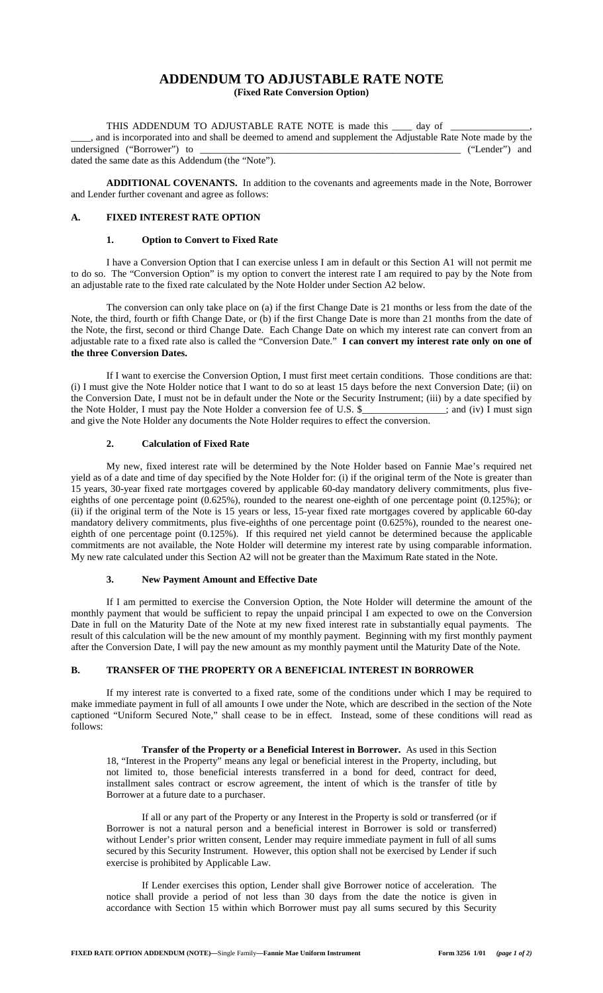# **ADDENDUM TO ADJUSTABLE RATE NOTE**

**(Fixed Rate Conversion Option)**

THIS ADDENDUM TO ADJUSTABLE RATE NOTE is made this day of \_\_\_\_, and is incorporated into and shall be deemed to amend and supplement the Adjustable Rate Note made by the undersigned ("Borrower") to \_\_\_\_\_\_\_\_\_\_\_\_\_\_\_\_\_\_\_\_\_\_\_\_\_\_\_\_\_\_\_\_\_\_\_\_\_\_\_\_\_\_\_\_\_\_\_\_\_\_\_\_\_ ("Lender") and dated the same date as this Addendum (the "Note").

**ADDITIONAL COVENANTS.** In addition to the covenants and agreements made in the Note, Borrower and Lender further covenant and agree as follows:

# **A. FIXED INTEREST RATE OPTION**

#### **1. Option to Convert to Fixed Rate**

I have a Conversion Option that I can exercise unless I am in default or this Section A1 will not permit me to do so. The "Conversion Option" is my option to convert the interest rate I am required to pay by the Note from an adjustable rate to the fixed rate calculated by the Note Holder under Section A2 below.

The conversion can only take place on (a) if the first Change Date is 21 months or less from the date of the Note, the third, fourth or fifth Change Date, or (b) if the first Change Date is more than 21 months from the date of the Note, the first, second or third Change Date. Each Change Date on which my interest rate can convert from an adjustable rate to a fixed rate also is called the "Conversion Date." **I can convert my interest rate only on one of the three Conversion Dates.**

If I want to exercise the Conversion Option, I must first meet certain conditions. Those conditions are that: (i) I must give the Note Holder notice that I want to do so at least 15 days before the next Conversion Date; (ii) on the Conversion Date, I must not be in default under the Note or the Security Instrument; (iii) by a date specified by the Note Holder, I must pay the Note Holder a conversion fee of U.S. \$\_\_\_\_\_\_\_\_\_\_\_\_\_\_\_\_\_; and (iv) I must sign and give the Note Holder any documents the Note Holder requires to effect the conversion.

## **2. Calculation of Fixed Rate**

My new, fixed interest rate will be determined by the Note Holder based on Fannie Mae's required net yield as of a date and time of day specified by the Note Holder for: (i) if the original term of the Note is greater than 15 years, 30-year fixed rate mortgages covered by applicable 60-day mandatory delivery commitments, plus fiveeighths of one percentage point (0.625%), rounded to the nearest one-eighth of one percentage point (0.125%); or (ii) if the original term of the Note is 15 years or less, 15-year fixed rate mortgages covered by applicable 60-day mandatory delivery commitments, plus five-eighths of one percentage point (0.625%), rounded to the nearest oneeighth of one percentage point (0.125%). If this required net yield cannot be determined because the applicable commitments are not available, the Note Holder will determine my interest rate by using comparable information. My new rate calculated under this Section A2 will not be greater than the Maximum Rate stated in the Note.

### **3. New Payment Amount and Effective Date**

If I am permitted to exercise the Conversion Option, the Note Holder will determine the amount of the monthly payment that would be sufficient to repay the unpaid principal I am expected to owe on the Conversion Date in full on the Maturity Date of the Note at my new fixed interest rate in substantially equal payments. The result of this calculation will be the new amount of my monthly payment. Beginning with my first monthly payment after the Conversion Date, I will pay the new amount as my monthly payment until the Maturity Date of the Note.

### **B. TRANSFER OF THE PROPERTY OR A BENEFICIAL INTEREST IN BORROWER**

If my interest rate is converted to a fixed rate, some of the conditions under which I may be required to make immediate payment in full of all amounts I owe under the Note, which are described in the section of the Note captioned "Uniform Secured Note," shall cease to be in effect. Instead, some of these conditions will read as follows:

**Transfer of the Property or a Beneficial Interest in Borrower.** As used in this Section 18, "Interest in the Property" means any legal or beneficial interest in the Property, including, but not limited to, those beneficial interests transferred in a bond for deed, contract for deed, installment sales contract or escrow agreement, the intent of which is the transfer of title by Borrower at a future date to a purchaser.

If all or any part of the Property or any Interest in the Property is sold or transferred (or if Borrower is not a natural person and a beneficial interest in Borrower is sold or transferred) without Lender's prior written consent, Lender may require immediate payment in full of all sums secured by this Security Instrument. However, this option shall not be exercised by Lender if such exercise is prohibited by Applicable Law.

If Lender exercises this option, Lender shall give Borrower notice of acceleration. The notice shall provide a period of not less than 30 days from the date the notice is given in accordance with Section 15 within which Borrower must pay all sums secured by this Security